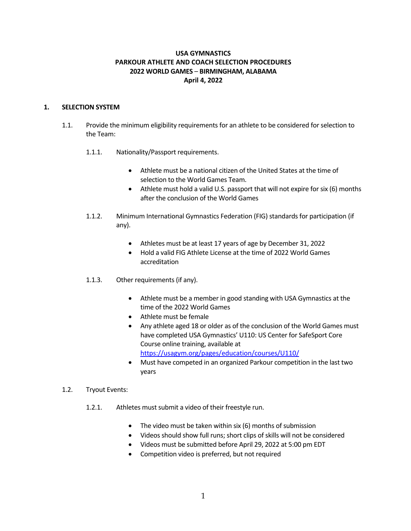# **USA GYMNASTICS PARKOUR ATHLETE AND COACH SELECTION PROCEDURES 2022 WORLD GAMES** – **BIRMINGHAM, ALABAMA April 4, 2022**

# **1. SELECTION SYSTEM**

- 1.1. Provide the minimum eligibility requirements for an athlete to be considered for selection to the Team:
	- 1.1.1. Nationality/Passport requirements.
		- Athlete must be a national citizen of the United States at the time of selection to the World Games Team.
		- Athlete must hold a valid U.S. passport that will not expire for six (6) months after the conclusion of the World Games
	- 1.1.2. Minimum International Gymnastics Federation (FIG) standards for participation (if any).
		- Athletes must be at least 17 years of age by December 31, 2022
		- Hold a valid FIG Athlete License at the time of 2022 World Games accreditation
	- 1.1.3. Other requirements (if any).
		- Athlete must be a member in good standing with USA Gymnastics at the time of the 2022 World Games
		- Athlete must be female
		- Any athlete aged 18 or older as of the conclusion of the World Games must have completed USA Gymnastics' U110: US Center for SafeSport Core Course online training, available at https://usagym.org/pages/education/courses/U110/
		- Must have competed in an organized Parkour competition in the last two years
- 1.2. Tryout Events:
	- 1.2.1. Athletes must submit a video of their freestyle run.
		- The video must be taken within six (6) months of submission
		- Videos should show full runs; short clips of skills will not be considered
		- Videos must be submitted before April 29, 2022 at 5:00 pm EDT
		- Competition video is preferred, but not required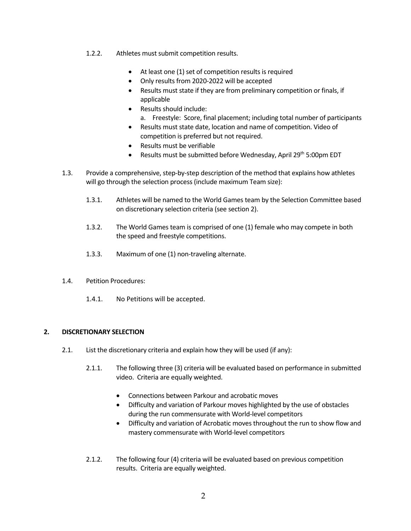- 1.2.2. Athletes must submit competition results.
	- At least one (1) set of competition results is required
	- Only results from 2020-2022 will be accepted
	- Results must state if they are from preliminary competition or finals, if applicable
	- Results should include:
		- a. Freestyle: Score, final placement; including total number of participants
	- Results must state date, location and name of competition. Video of competition is preferred but not required.
	- Results must be verifiable
	- Results must be submitted before Wednesday, April 29<sup>th</sup> 5:00pm EDT
- 1.3. Provide a comprehensive, step-by-step description of the method that explains how athletes will go through the selection process (include maximum Team size):
	- 1.3.1. Athletes will be named to the World Games team by the Selection Committee based on discretionary selection criteria (see section 2).
	- 1.3.2. The World Games team is comprised of one (1) female who may compete in both the speed and freestyle competitions.
	- 1.3.3. Maximum of one (1) non-traveling alternate.
- 1.4. Petition Procedures:
	- 1.4.1. No Petitions will be accepted.

### **2. DISCRETIONARY SELECTION**

- 2.1. List the discretionary criteria and explain how they will be used (if any):
	- 2.1.1. The following three (3) criteria will be evaluated based on performance in submitted video. Criteria are equally weighted.
		- Connections between Parkour and acrobatic moves
		- Difficulty and variation of Parkour moves highlighted by the use of obstacles during the run commensurate with World-level competitors
		- Difficulty and variation of Acrobatic moves throughout the run to show flow and mastery commensurate with World-level competitors
	- 2.1.2. The following four (4) criteria will be evaluated based on previous competition results. Criteria are equally weighted.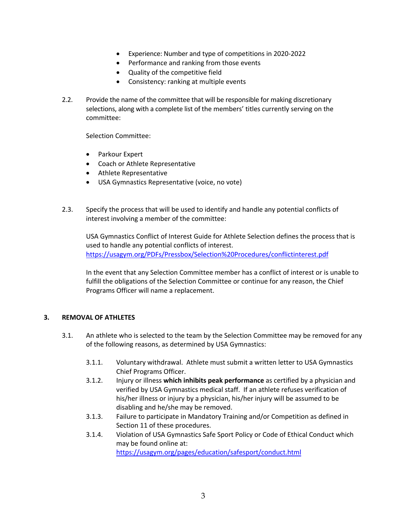- Experience: Number and type of competitions in 2020-2022
- Performance and ranking from those events
- Quality of the competitive field
- Consistency: ranking at multiple events
- 2.2. Provide the name of the committee that will be responsible for making discretionary selections, along with a complete list of the members' titles currently serving on the committee:

Selection Committee:

- Parkour Expert
- Coach or Athlete Representative
- Athlete Representative
- USA Gymnastics Representative (voice, no vote)
- 2.3. Specify the process that will be used to identify and handle any potential conflicts of interest involving a member of the committee:

USA Gymnastics Conflict of Interest Guide for Athlete Selection defines the process that is used to handle any potential conflicts of interest. https://usagym.org/PDFs/Pressbox/Selection%20Procedures/conflictinterest.pdf

In the event that any Selection Committee member has a conflict of interest or is unable to fulfill the obligations of the Selection Committee or continue for any reason, the Chief Programs Officer will name a replacement.

#### **3. REMOVAL OF ATHLETES**

- 3.1. An athlete who is selected to the team by the Selection Committee may be removed for any of the following reasons, as determined by USA Gymnastics:
	- 3.1.1. Voluntary withdrawal. Athlete must submit a written letter to USA Gymnastics Chief Programs Officer.
	- 3.1.2. Injury or illness **which inhibits peak performance** as certified by a physician and verified by USA Gymnastics medical staff. If an athlete refuses verification of his/her illness or injury by a physician, his/her injury will be assumed to be disabling and he/she may be removed.
	- 3.1.3. Failure to participate in Mandatory Training and/or Competition as defined in Section 11 of these procedures.
	- 3.1.4. Violation of USA Gymnastics Safe Sport Policy or Code of Ethical Conduct which may be found online at:

https://usagym.org/pages/education/safesport/conduct.html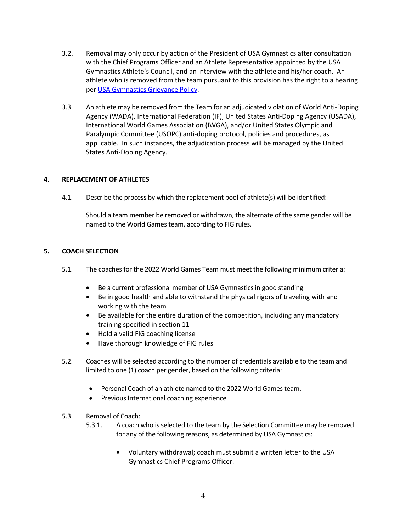- 3.2. Removal may only occur by action of the President of USA Gymnastics after consultation with the Chief Programs Officer and an Athlete Representative appointed by the USA Gymnastics Athlete's Council, and an interview with the athlete and his/her coach. An athlete who is removed from the team pursuant to this provision has the right to a hearing per USA Gymnastics Grievance Policy.
- 3.3. An athlete may be removed from the Team for an adjudicated violation of World Anti-Doping Agency (WADA), International Federation (IF), United States Anti-Doping Agency (USADA), International World Games Association (IWGA), and/or United States Olympic and Paralympic Committee (USOPC) anti-doping protocol, policies and procedures, as applicable. In such instances, the adjudication process will be managed by the United States Anti-Doping Agency.

# **4. REPLACEMENT OF ATHLETES**

4.1. Describe the process by which the replacement pool of athlete(s) will be identified:

Should a team member be removed or withdrawn, the alternate of the same gender will be named to the World Games team, according to FIG rules.

#### **5. COACH SELECTION**

- 5.1. The coaches for the 2022 World Games Team must meet the following minimum criteria:
	- Be a current professional member of USA Gymnastics in good standing
	- Be in good health and able to withstand the physical rigors of traveling with and working with the team
	- Be available for the entire duration of the competition, including any mandatory training specified in section 11
	- Hold a valid FIG coaching license
	- Have thorough knowledge of FIG rules
- 5.2. Coaches will be selected according to the number of credentials available to the team and limited to one (1) coach per gender, based on the following criteria:
	- Personal Coach of an athlete named to the 2022 World Games team.
	- Previous International coaching experience
- 5.3. Removal of Coach:
	- 5.3.1. A coach who is selected to the team by the Selection Committee may be removed for any of the following reasons, as determined by USA Gymnastics:
		- Voluntary withdrawal; coach must submit a written letter to the USA Gymnastics Chief Programs Officer.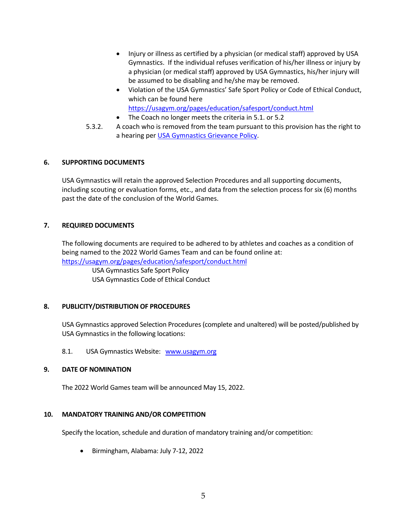- Injury or illness as certified by a physician (or medical staff) approved by USA Gymnastics. If the individual refuses verification of his/her illness or injury by a physician (or medical staff) approved by USA Gymnastics, his/her injury will be assumed to be disabling and he/she may be removed.
- Violation of the USA Gymnastics' Safe Sport Policy or Code of Ethical Conduct, which can be found here https://usagym.org/pages/education/safesport/conduct.html
- The Coach no longer meets the criteria in 5.1. or 5.2
- 5.3.2. A coach who is removed from the team pursuant to this provision has the right to a hearing per USA Gymnastics Grievance Policy.

# **6. SUPPORTING DOCUMENTS**

USA Gymnastics will retain the approved Selection Procedures and all supporting documents, including scouting or evaluation forms, etc., and data from the selection process for six (6) months past the date of the conclusion of the World Games.

#### **7. REQUIRED DOCUMENTS**

The following documents are required to be adhered to by athletes and coaches as a condition of being named to the 2022 World Games Team and can be found online at: https://usagym.org/pages/education/safesport/conduct.html

USA Gymnastics Safe Sport Policy USA Gymnastics Code of Ethical Conduct

#### **8. PUBLICITY/DISTRIBUTION OF PROCEDURES**

USA Gymnastics approved Selection Procedures (complete and unaltered) will be posted/published by USA Gymnastics in the following locations:

8.1. USA Gymnastics Website: www.usagym.org

#### **9. DATE OF NOMINATION**

The 2022 World Games team will be announced May 15, 2022.

#### **10. MANDATORY TRAINING AND/OR COMPETITION**

Specify the location, schedule and duration of mandatory training and/or competition:

• Birmingham, Alabama: July 7-12, 2022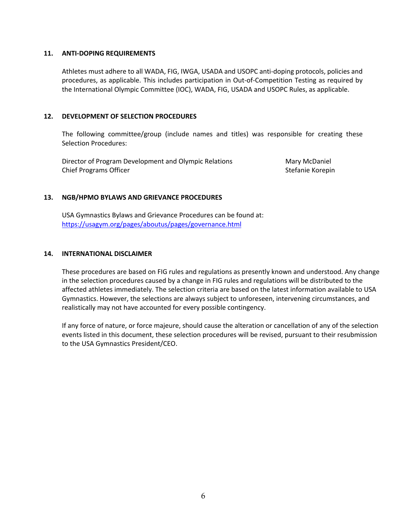#### **11. ANTI-DOPING REQUIREMENTS**

Athletes must adhere to all WADA, FIG, IWGA, USADA and USOPC anti-doping protocols, policies and procedures, as applicable. This includes participation in Out-of-Competition Testing as required by the International Olympic Committee (IOC), WADA, FIG, USADA and USOPC Rules, as applicable.

#### **12. DEVELOPMENT OF SELECTION PROCEDURES**

The following committee/group (include names and titles) was responsible for creating these Selection Procedures:

Director of Program Development and Olympic Relations Mary McDaniel Chief Programs Officer Stefanie Korepin and Stefanie Korepin and Stefanie Korepin

#### **13. NGB/HPMO BYLAWS AND GRIEVANCE PROCEDURES**

USA Gymnastics Bylaws and Grievance Procedures can be found at: https://usagym.org/pages/aboutus/pages/governance.html

#### **14. INTERNATIONAL DISCLAIMER**

These procedures are based on FIG rules and regulations as presently known and understood. Any change in the selection procedures caused by a change in FIG rules and regulations will be distributed to the affected athletes immediately. The selection criteria are based on the latest information available to USA Gymnastics. However, the selections are always subject to unforeseen, intervening circumstances, and realistically may not have accounted for every possible contingency.

If any force of nature, or force majeure, should cause the alteration or cancellation of any of the selection events listed in this document, these selection procedures will be revised, pursuant to their resubmission to the USA Gymnastics President/CEO.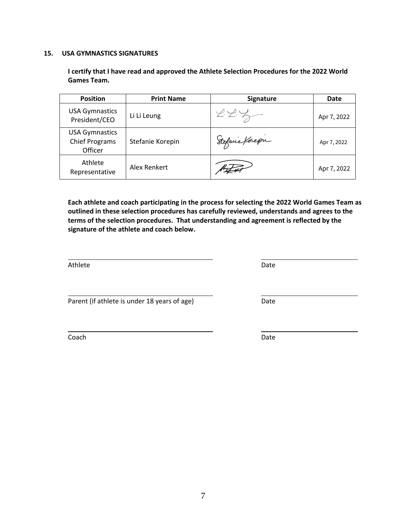7

**15. USA GYMNASTICS SIGNATURES**

**I certify that I have read and approved the Athlete Selection Procedures for the 2022 World Games Team.**

| <b>Position</b>                                           | <b>Print Name</b> | Signature      | Date        |
|-----------------------------------------------------------|-------------------|----------------|-------------|
| <b>USA Gymnastics</b><br>President/CEO                    | Li Li Leung       | ZZZ            | Apr 7, 2022 |
| <b>USA Gymnastics</b><br><b>Chief Programs</b><br>Officer | Stefanie Korepin  | Stofane Korepn | Apr 7, 2022 |
| Athlete<br>Representative                                 | Alex Renkert      |                | Apr 7, 2022 |

**Each athlete and coach participating in the process for selecting the 2022 World Games Team as outlined in these selection procedures has carefully reviewed, understands and agrees to the terms of the selection procedures. That understanding and agreement is reflected by the signature of the athlete and coach below.** 

Athlete Date Date Date Date Date Date Date

Parent (if athlete is under 18 years of age) Date

Coach **Date**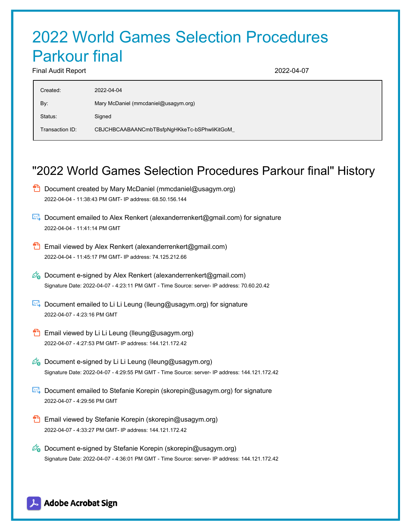# 2022 World Games Selection Procedures Parkour final

Final Audit Report 2022-04-07

| Created:        | 2022-04-04                                  |
|-----------------|---------------------------------------------|
| By:             | Mary McDaniel (mmcdaniel@usagym.org)        |
| Status:         | Signed                                      |
| Transaction ID: | CBJCHBCAABAANCmbTBsfpNgHKkeTc-bSPhwliKitGoM |
|                 |                                             |

# "2022 World Games Selection Procedures Parkour final" History

- $\Box$  Document created by Mary McDaniel (mmcdaniel@usagym.org) 2022-04-04 - 11:38:43 PM GMT- IP address: 68.50.156.144
- Document emailed to Alex Renkert (alexanderrenkert@gmail.com) for signature 2022-04-04 - 11:41:14 PM GMT
- **Email viewed by Alex Renkert (alexanderrenkert@gmail.com)** 2022-04-04 - 11:45:17 PM GMT- IP address: 74.125.212.66
- $\mathbb{Z}_{\bullet}$  Document e-signed by Alex Renkert (alexanderrenkert@gmail.com) Signature Date: 2022-04-07 - 4:23:11 PM GMT - Time Source: server- IP address: 70.60.20.42
- Document emailed to Li Li Leung (lleung@usagym.org) for signature 2022-04-07 - 4:23:16 PM GMT
- **Email viewed by Li Li Leung (lleung@usagym.org)** 2022-04-07 - 4:27:53 PM GMT- IP address: 144.121.172.42
- $\mathbb{Z}_{\Theta}$  Document e-signed by Li Li Leung (lleung@usagym.org) Signature Date: 2022-04-07 - 4:29:55 PM GMT - Time Source: server- IP address: 144.121.172.42
- Document emailed to Stefanie Korepin (skorepin@usagym.org) for signature 2022-04-07 - 4:29:56 PM GMT
- **Email viewed by Stefanie Korepin (skorepin@usagym.org)** 2022-04-07 - 4:33:27 PM GMT- IP address: 144.121.172.42
- $\mathscr{O}_\bullet$  Document e-signed by Stefanie Korepin (skorepin@usagym.org) Signature Date: 2022-04-07 - 4:36:01 PM GMT - Time Source: server- IP address: 144.121.172.42